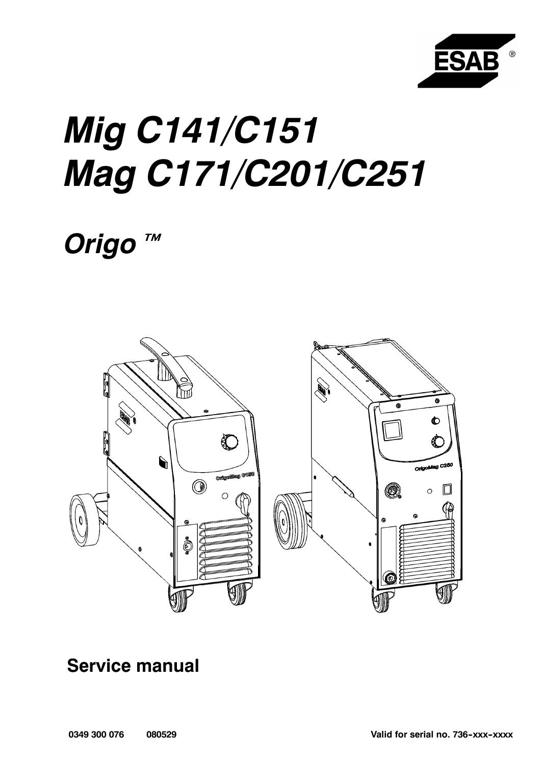

# **Mig C141/C151** Mag C171/C201/C251

Origo<sup>™</sup>



# **Service manual**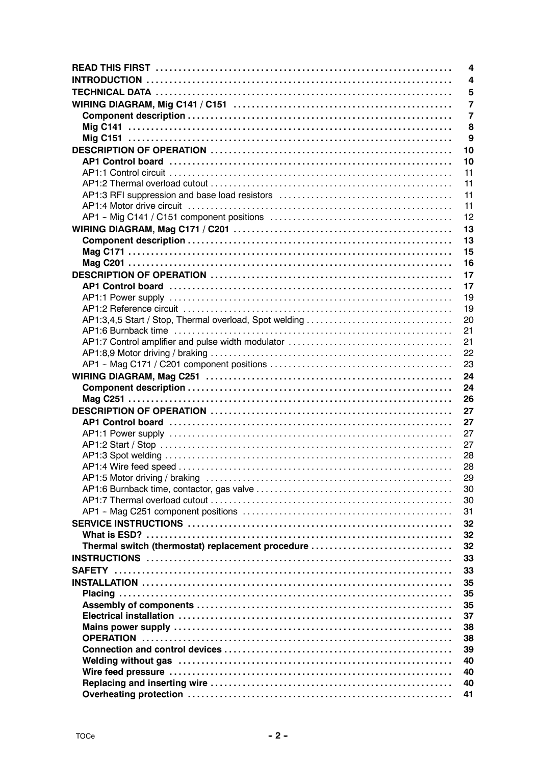|                                                        | 4            |
|--------------------------------------------------------|--------------|
|                                                        | 4            |
|                                                        | 5            |
|                                                        | 7            |
|                                                        | 7            |
|                                                        | 8            |
|                                                        | $\mathbf{9}$ |
|                                                        | 10           |
|                                                        | 10           |
|                                                        | 11           |
|                                                        | 11           |
|                                                        | 11           |
|                                                        | 11           |
|                                                        | 12           |
|                                                        | 13           |
|                                                        | 13           |
|                                                        | 15           |
|                                                        | 16           |
|                                                        | 17           |
|                                                        | 17           |
|                                                        | 19           |
|                                                        | 19           |
| AP1:3,4,5 Start / Stop, Thermal overload, Spot welding | 20           |
|                                                        | 21           |
|                                                        | 21           |
|                                                        | 22           |
|                                                        | 23           |
|                                                        | 24           |
|                                                        | 24           |
|                                                        | 26           |
|                                                        | 27           |
|                                                        | 27           |
|                                                        | 27           |
|                                                        | 27           |
|                                                        | 28           |
|                                                        | 28           |
|                                                        | 29<br>30     |
|                                                        |              |
|                                                        |              |
|                                                        | 30           |
|                                                        | 31           |
|                                                        | 32           |
|                                                        | 32           |
| Thermal switch (thermostat) replacement procedure      | 32           |
|                                                        | 33           |
|                                                        | 33           |
|                                                        | 35           |
|                                                        | 35           |
|                                                        | 35           |
|                                                        | 37           |
|                                                        | 38           |
|                                                        | 38           |
|                                                        | 39           |
|                                                        | 40<br>40     |
|                                                        | 40           |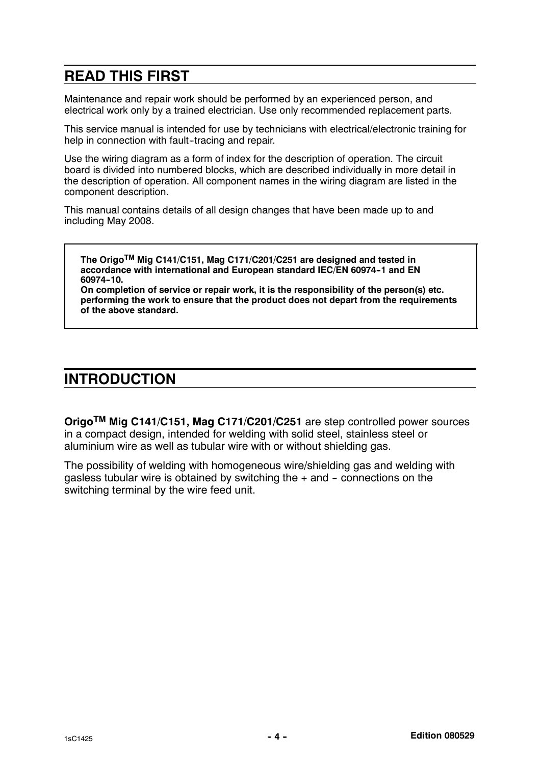### READ THIS FIRST

Maintenance and repair work should be performed by an experienced person, and electrical work only by a trained electrician. Use only recommended replacement parts.

This service manual is intended for use by technicians with electrical/electronic training for help in connection with fault-tracing and repair.

Use the wiring diagram as a form of index for the description of operation. The circuit board is divided into numbered blocks, which are described individually in more detail in the description of operation. All component names in the wiring diagram are listed in the component description.

This manual contains details of all design changes that have been made up to and including May 2008.

The OrigoTM Mig C141/C151, Mag C171/C201/C251 are designed and tested in accordance with international and European standard IEC/EN 60974-1 and EN 60974-10.

On completion of service or repair work, it is the responsibility of the person(s) etc. performing the work to ensure that the product does not depart from the requirements of the above standard.

### INTRODUCTION

OrigoTM Mig C141/C151, Mag C171/C201/C251 are step controlled power sources in a compact design, intended for welding with solid steel, stainless steel or aluminium wire as well as tubular wire with or without shielding gas.

The possibility of welding with homogeneous wire/shielding gas and welding with gasless tubular wire is obtained by switching the  $+$  and  $-$  connections on the switching terminal by the wire feed unit.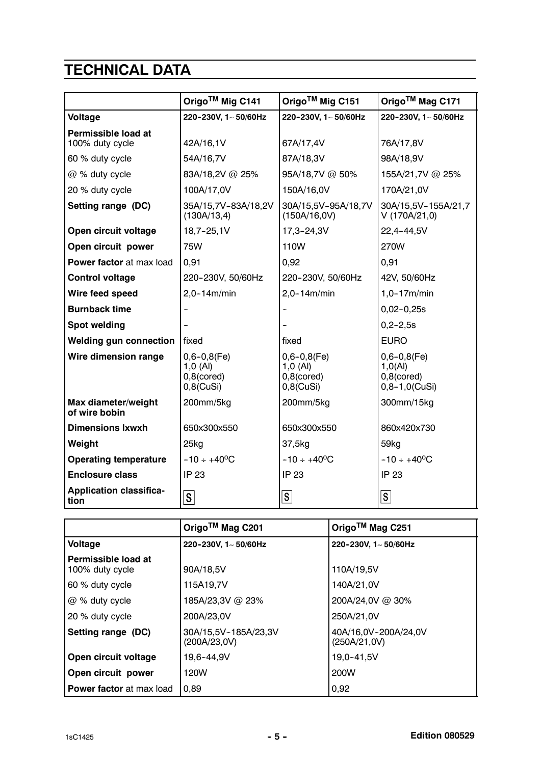## TECHNICAL DATA

|                                                                      | Origo™ Mig C141<br>Origo™ Mig C151                              |                                                                 | Origo™ Mag C171                                                      |  |
|----------------------------------------------------------------------|-----------------------------------------------------------------|-----------------------------------------------------------------|----------------------------------------------------------------------|--|
| Voltage                                                              | 220-230V, 1~50/60Hz                                             | 220-230V, 1~50/60Hz                                             | 220-230V, 1~50/60Hz                                                  |  |
| Permissible load at<br>100% duty cycle                               | 42A/16,1V                                                       |                                                                 | 76A/17,8V                                                            |  |
| 60 % duty cycle                                                      | 54A/16,7V                                                       | 87A/18,3V                                                       | 98A/18,9V                                                            |  |
| @ % duty cycle                                                       | 83A/18,2V @ 25%                                                 | 95A/18,7V @ 50%                                                 | 155A/21,7V @ 25%                                                     |  |
| 20 % duty cycle                                                      | 100A/17,0V                                                      | 150A/16,0V                                                      | 170A/21,0V                                                           |  |
| Setting range (DC)                                                   | 35A/15,7V-83A/18,2V<br>(130A/13,4)                              | 30A/15,5V-95A/18,7V<br>(150A/16,0V)                             | 30A/15,5V-155A/21,7<br>V(170A/21,0)                                  |  |
| Open circuit voltage                                                 | 18,7-25,1V                                                      | 17,3-24,3V                                                      | 22,4-44,5V                                                           |  |
| Open circuit power                                                   | 75W                                                             | 110W                                                            | 270W                                                                 |  |
| Power factor at max load                                             | 0,91                                                            | 0,92                                                            | 0,91                                                                 |  |
| <b>Control voltage</b>                                               | 220-230V, 50/60Hz                                               | 220-230V, 50/60Hz                                               | 42V, 50/60Hz                                                         |  |
| Wire feed speed                                                      | $2,0-14m/min$<br>$2,0-14m/min$                                  |                                                                 | $1,0-17m/min$                                                        |  |
| <b>Burnback time</b>                                                 |                                                                 |                                                                 | $0,02-0,25s$                                                         |  |
| <b>Spot welding</b>                                                  |                                                                 |                                                                 | $0, 2 - 2, 5s$                                                       |  |
| <b>Welding gun connection</b>                                        | fixed                                                           | fixed                                                           | <b>EURO</b>                                                          |  |
| Wire dimension range                                                 | $0,6 - 0,8$ (Fe)<br>$1,0$ (Al)<br>$0,8$ (cored)<br>$0,8$ (CuSi) | $0,6 - 0,8$ (Fe)<br>$1,0$ (Al)<br>$0,8$ (cored)<br>$0,8$ (CuSi) | $0,6 - 0,8$ (Fe)<br>1,0(Al)<br>$0,8$ (cored)<br>$0, 8 - 1, 0$ (CuSi) |  |
| Max diameter/weight<br>of wire bobin                                 | 200mm/5kg<br>200mm/5kg                                          |                                                                 | 300mm/15kg                                                           |  |
| <b>Dimensions Ixwxh</b>                                              | 650x300x550                                                     | 650x300x550                                                     | 860x420x730                                                          |  |
| Weight                                                               | $25$ kg                                                         | 37,5kg                                                          | 59kg                                                                 |  |
| <b>Operating temperature</b>                                         | $-10 \div +40$ <sup>o</sup> C                                   | $-10 \div +40$ <sup>o</sup> C                                   | $-10 \div +40$ <sup>o</sup> C                                        |  |
| <b>Enclosure class</b>                                               | <b>IP 23</b><br><b>IP 23</b><br><b>IP 23</b>                    |                                                                 |                                                                      |  |
| <b>Application classifica-</b><br>$ \mathsf{S} $<br>S<br> S <br>tion |                                                                 |                                                                 |                                                                      |  |

|                                        | Origo™ Mag C201                      | Origo™ Mag C251                      |
|----------------------------------------|--------------------------------------|--------------------------------------|
| Voltage                                | 220-230V, 1~50/60Hz                  | 220-230V, 1~50/60Hz                  |
| Permissible load at<br>100% duty cycle | 90A/18,5V                            | 110A/19.5V                           |
| 60 % duty cycle                        | 115A19,7V                            | 140A/21,0V                           |
| $@$ % duty cycle                       | 185A/23,3V @ 23%                     | 200A/24,0V @ 30%                     |
| 20 % duty cycle                        | 200A/23.0V                           | 250A/21,0V                           |
| Setting range (DC)                     | 30A/15,5V-185A/23,3V<br>(200A/23,0V) | 40A/16,0V-200A/24,0V<br>(250A/21,0V) |
| Open circuit voltage                   | 19,6-44,9V                           | 19,0-41,5V                           |
| Open circuit power                     | 120W                                 | 200W                                 |
| <b>Power factor</b> at max load        | 0.89                                 | 0,92                                 |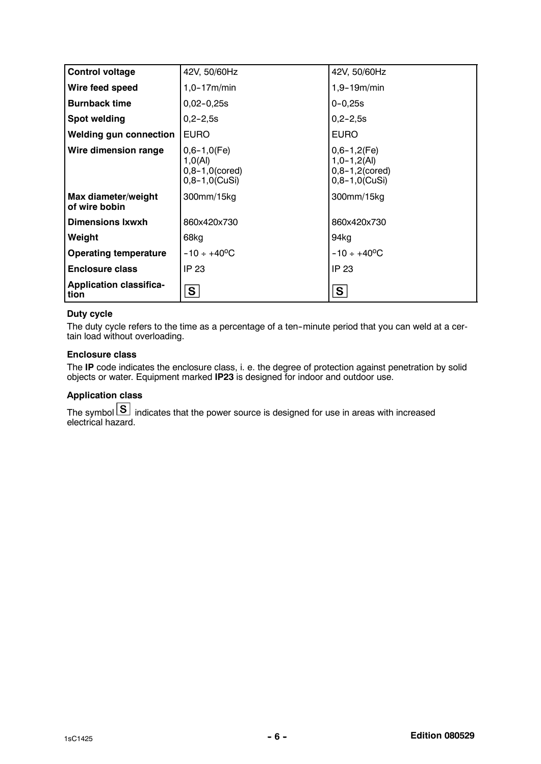| <b>Control voltage</b>                 | 42V, 50/60Hz                                                           | 42V, 50/60Hz                                                                        |
|----------------------------------------|------------------------------------------------------------------------|-------------------------------------------------------------------------------------|
| Wire feed speed                        | $1,0-17m/min$                                                          | $1,9 - 19m/min$                                                                     |
| <b>Burnback time</b>                   | $0,02-0,25s$                                                           | $0 - 0.25s$                                                                         |
| <b>Spot welding</b>                    | $0, 2 - 2, 5s$                                                         | $0, 2 - 2, 5s$                                                                      |
| <b>Welding gun connection</b>          | <b>EURO</b>                                                            | <b>EURO</b>                                                                         |
| Wire dimension range                   | $0,6-1,0$ (Fe)<br>1,0(Al)<br>$0, 8 - 1, 0$ (cored)<br>$0,8-1,0$ (CuSi) | $0,6-1,2$ (Fe)<br>$1, 0 - 1, 2(A)$<br>$0, 8 - 1, 2$ (cored)<br>$0, 8 - 1, 0$ (CuSi) |
| Max diameter/weight<br>of wire bobin   | 300mm/15kg                                                             | 300mm/15kg                                                                          |
| <b>Dimensions Ixwxh</b>                | 860x420x730                                                            | 860x420x730                                                                         |
| Weight                                 | 68kg                                                                   | 94kg                                                                                |
| <b>Operating temperature</b>           | $-10 \div +40^{\circ}$ C                                               | $-10 \div +40$ <sup>o</sup> C                                                       |
| <b>Enclosure class</b>                 | IP 23                                                                  | IP 23                                                                               |
| <b>Application classifica-</b><br>tion | S.                                                                     | S                                                                                   |

#### Duty cycle

The duty cycle refers to the time as a percentage of a ten--minute period that you can weld at a certain load without overloading.

#### Enclosure class

The IP code indicates the enclosure class, i. e. the degree of protection against penetration by solid objects or water. Equipment marked IP23 is designed for indoor and outdoor use.

### Application class

The symbol indicates that the power source is designed for use in areas with increased electrical hazard.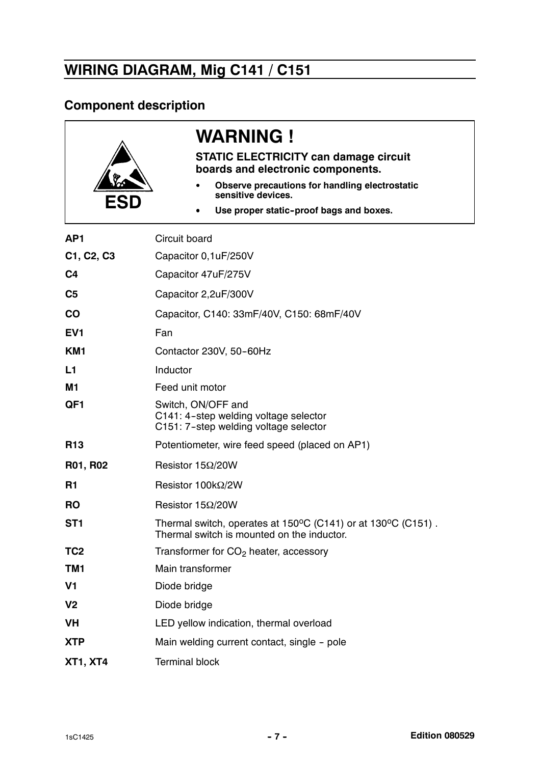# WIRING DIAGRAM, Mig C141 / C151

### Component description

| FSI             | <b>WARNING !</b><br><b>STATIC ELECTRICITY can damage circuit</b><br>boards and electronic components.<br>Observe precautions for handling electrostatic<br>sensitive devices.<br>Use proper static-proof bags and boxes. |  |
|-----------------|--------------------------------------------------------------------------------------------------------------------------------------------------------------------------------------------------------------------------|--|
| AP <sub>1</sub> | Circuit board                                                                                                                                                                                                            |  |
| C1, C2, C3      | Capacitor 0,1uF/250V                                                                                                                                                                                                     |  |
| C <sub>4</sub>  | Capacitor 47uF/275V                                                                                                                                                                                                      |  |
| C <sub>5</sub>  | Capacitor 2,2uF/300V                                                                                                                                                                                                     |  |
| CO              | Capacitor, C140: 33mF/40V, C150: 68mF/40V                                                                                                                                                                                |  |
| EV <sub>1</sub> | Fan                                                                                                                                                                                                                      |  |
| KM <sub>1</sub> | Contactor 230V, 50-60Hz                                                                                                                                                                                                  |  |
| L1              | Inductor                                                                                                                                                                                                                 |  |
| <b>M1</b>       | Feed unit motor                                                                                                                                                                                                          |  |
| QF <sub>1</sub> | Switch, ON/OFF and<br>C141: 4-step welding voltage selector<br>C151: 7-step welding voltage selector                                                                                                                     |  |
| <b>R13</b>      | Potentiometer, wire feed speed (placed on AP1)                                                                                                                                                                           |  |
| R01, R02        | Resistor $15\Omega/20W$                                                                                                                                                                                                  |  |
| R1              | Resistor $100k\Omega/2W$                                                                                                                                                                                                 |  |
| <b>RO</b>       | Resistor 15Ω/20W                                                                                                                                                                                                         |  |
| ST <sub>1</sub> | Thermal switch, operates at 150°C (C141) or at 130°C (C151).<br>Thermal switch is mounted on the inductor.                                                                                                               |  |
| TC <sub>2</sub> | Transformer for $CO2$ heater, accessory                                                                                                                                                                                  |  |
| TM1             | Main transformer                                                                                                                                                                                                         |  |
| V <sub>1</sub>  | Diode bridge                                                                                                                                                                                                             |  |
| V <sub>2</sub>  | Diode bridge                                                                                                                                                                                                             |  |
| VH              | LED yellow indication, thermal overload                                                                                                                                                                                  |  |
| <b>XTP</b>      | Main welding current contact, single - pole                                                                                                                                                                              |  |
| <b>XT1, XT4</b> | <b>Terminal block</b>                                                                                                                                                                                                    |  |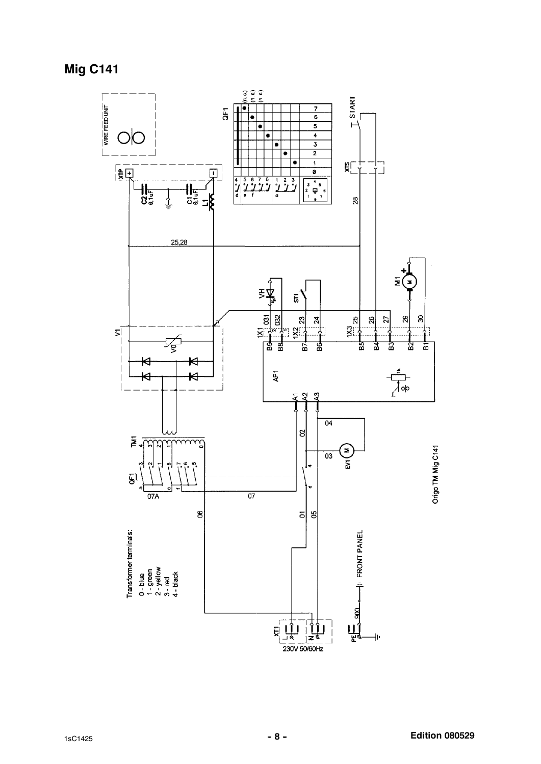

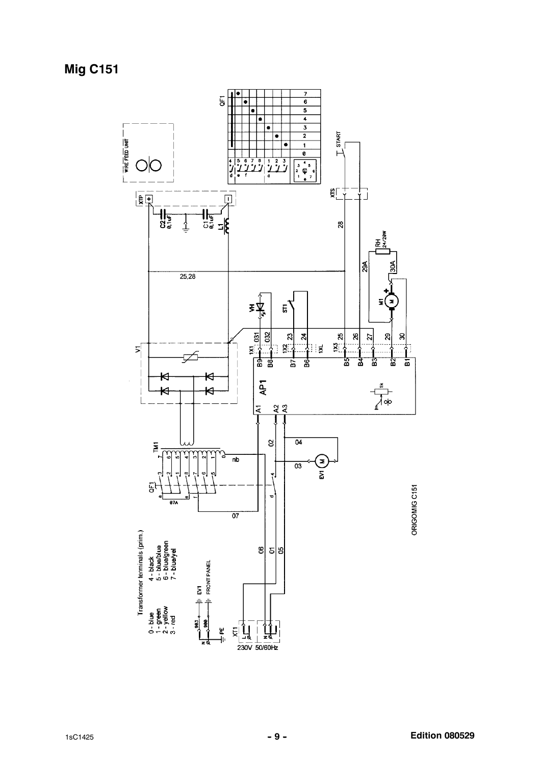**Mig C151** 

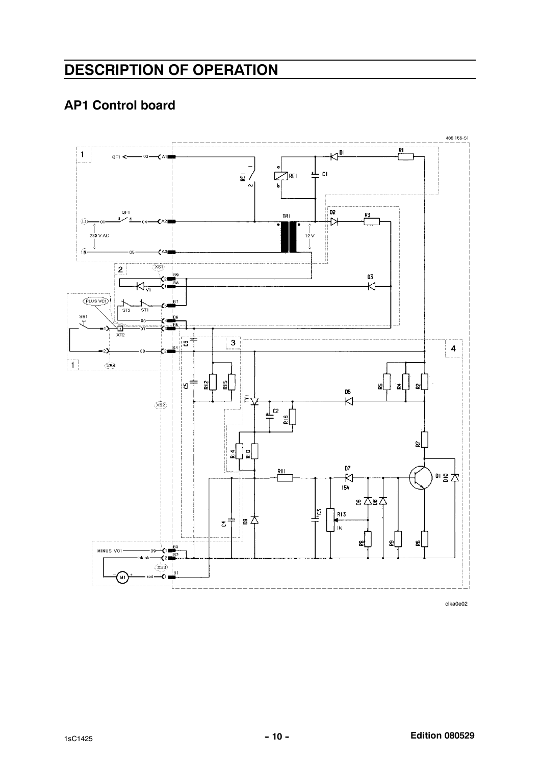### **DESCRIPTION OF OPERATION**

### **AP1 Control board**

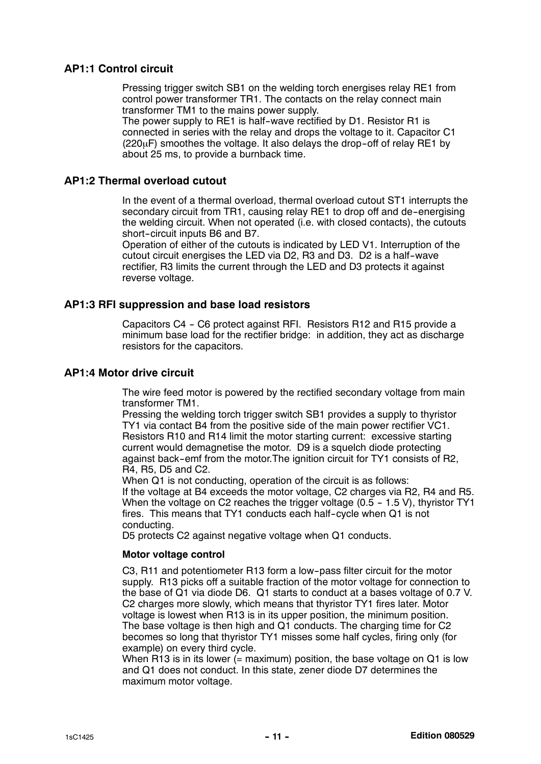### AP1:1 Control circuit

Pressing trigger switch SB1 on the welding torch energises relay RE1 from control power transformer TR1. The contacts on the relay connect main transformer TM1 to the mains power supply.

The power supply to RE1 is half-wave rectified by D1. Resistor R1 is connected in series with the relay and drops the voltage to it. Capacitor C1  $(220\mu)$  smoothes the voltage. It also delays the drop-off of relay RE1 by about 25 ms, to provide a burnback time.

#### AP1:2 Thermal overload cutout

In the event of a thermal overload, thermal overload cutout ST1 interrupts the secondary circuit from TR1, causing relay RE1 to drop off and de-energising the welding circuit. When not operated (i.e. with closed contacts), the cutouts short-circuit inputs B6 and B7.

Operation of either of the cutouts is indicated by LED V1. Interruption of the cutout circuit energises the LED via D2, R3 and D3. D2 is a half--wave rectifier, R3 limits the current through the LED and D3 protects it against reverse voltage.

#### AP1:3 RFI suppression and base load resistors

Capacitors C4 - C6 protect against RFI. Resistors R12 and R15 provide a minimum base load for the rectifier bridge: in addition, they act as discharge resistors for the capacitors.

### AP1:4 Motor drive circuit

The wire feed motor is powered by the rectified secondary voltage from main transformer TM1.

Pressing the welding torch trigger switch SB1 provides a supply to thyristor TY1 via contact B4 from the positive side of the main power rectifier VC1. Resistors R10 and R14 limit the motor starting current: excessive starting current would demagnetise the motor. D9 is a squelch diode protecting against back--emf from the motor.The ignition circuit for TY1 consists of R2, R4, R5, D5 and C2.

When Q1 is not conducting, operation of the circuit is as follows: If the voltage at B4 exceeds the motor voltage, C2 charges via R2, R4 and R5. When the voltage on C2 reaches the trigger voltage  $(0.5 - 1.5 V)$ , thyristor TY1 fires. This means that TY1 conducts each half-cycle when Q1 is not conducting.

D5 protects C2 against negative voltage when Q1 conducts.

#### Motor voltage control

C3, R11 and potentiometer R13 form a low-pass filter circuit for the motor supply. R13 picks off a suitable fraction of the motor voltage for connection to the base of Q1 via diode D6. Q1 starts to conduct at a bases voltage of 0.7 V. C2 charges more slowly, which means that thyristor TY1 fires later. Motor voltage is lowest when R13 is in its upper position, the minimum position. The base voltage is then high and Q1 conducts. The charging time for C2 becomes so long that thyristor TY1 misses some half cycles, firing only (for example) on every third cycle.

When R13 is in its lower ( $=$  maximum) position, the base voltage on Q1 is low and Q1 does not conduct. In this state, zener diode D7 determines the maximum motor voltage.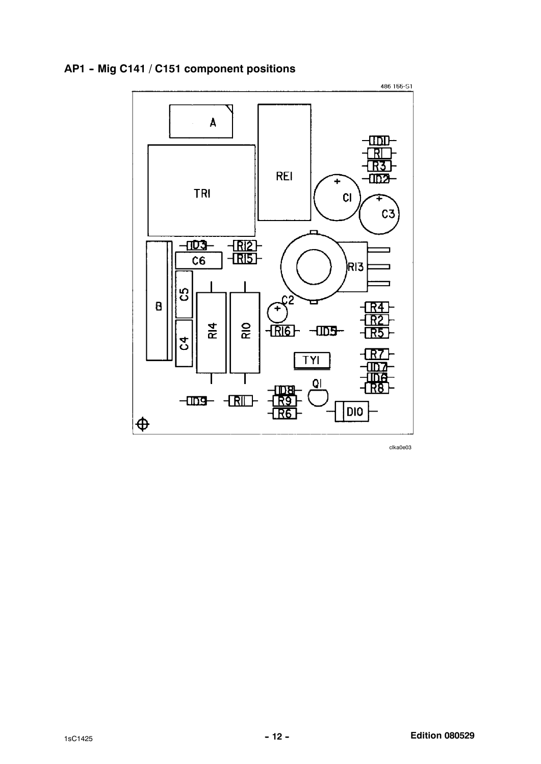

### AP1 - Mig C141 / C151 component positions

clka0e03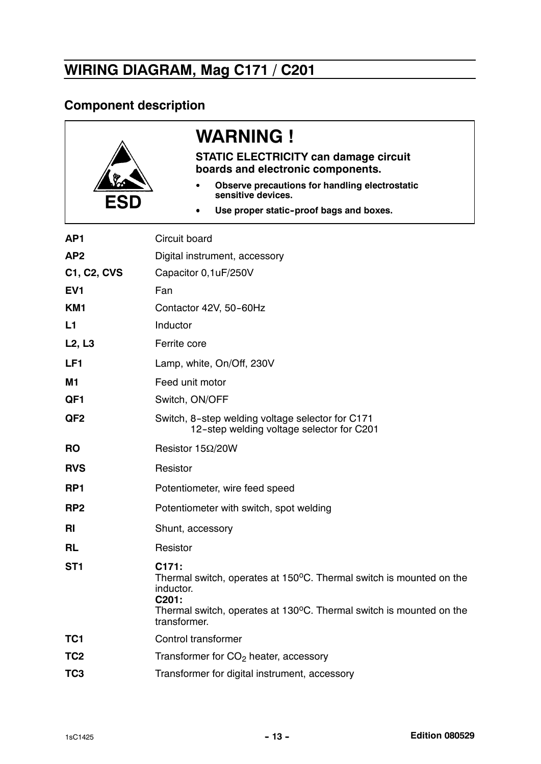# WIRING DIAGRAM, Mag C171 / C201

### Component description

| <b>ESD</b>      | <b>WARNING !</b><br><b>STATIC ELECTRICITY can damage circuit</b><br>boards and electronic components.<br>Observe precautions for handling electrostatic<br>sensitive devices.<br>Use proper static-proof bags and boxes. |  |
|-----------------|--------------------------------------------------------------------------------------------------------------------------------------------------------------------------------------------------------------------------|--|
| AP <sub>1</sub> | Circuit board                                                                                                                                                                                                            |  |
| AP <sub>2</sub> | Digital instrument, accessory                                                                                                                                                                                            |  |
| C1, C2, CVS     | Capacitor 0,1uF/250V                                                                                                                                                                                                     |  |
| EV <sub>1</sub> | Fan                                                                                                                                                                                                                      |  |
| KM <sub>1</sub> | Contactor 42V, 50-60Hz                                                                                                                                                                                                   |  |
| L1              | Inductor                                                                                                                                                                                                                 |  |
| L2, L3          | Ferrite core                                                                                                                                                                                                             |  |
| LF <sub>1</sub> | Lamp, white, On/Off, 230V                                                                                                                                                                                                |  |
| M <sub>1</sub>  | Feed unit motor                                                                                                                                                                                                          |  |
| QF <sub>1</sub> | Switch, ON/OFF                                                                                                                                                                                                           |  |
| QF <sub>2</sub> | Switch, 8-step welding voltage selector for C171<br>12-step welding voltage selector for C201                                                                                                                            |  |
| <b>RO</b>       | Resistor $15\Omega/20W$                                                                                                                                                                                                  |  |
| <b>RVS</b>      | Resistor                                                                                                                                                                                                                 |  |
| RP1             | Potentiometer, wire feed speed                                                                                                                                                                                           |  |
| RP <sub>2</sub> | Potentiometer with switch, spot welding                                                                                                                                                                                  |  |
| RI              | Shunt, accessory                                                                                                                                                                                                         |  |
| <b>RL</b>       | Resistor                                                                                                                                                                                                                 |  |
| ST <sub>1</sub> | C171:<br>Thermal switch, operates at 150°C. Thermal switch is mounted on the<br>inductor.<br>C201:<br>Thermal switch, operates at 130°C. Thermal switch is mounted on the<br>transformer.                                |  |
| TC <sub>1</sub> | Control transformer                                                                                                                                                                                                      |  |
| TC <sub>2</sub> | Transformer for $CO2$ heater, accessory                                                                                                                                                                                  |  |
| TC <sub>3</sub> | Transformer for digital instrument, accessory                                                                                                                                                                            |  |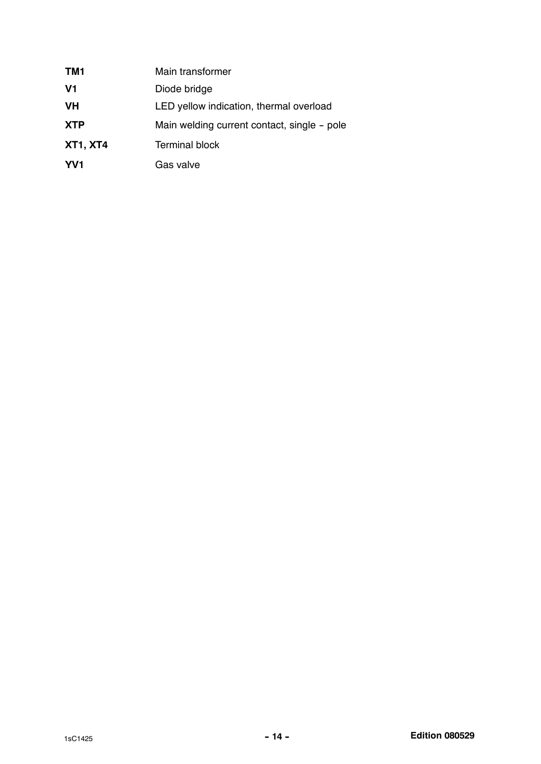| TM1             | Main transformer                            |
|-----------------|---------------------------------------------|
| V <sub>1</sub>  | Diode bridge                                |
| <b>VH</b>       | LED yellow indication, thermal overload     |
| <b>XTP</b>      | Main welding current contact, single - pole |
| <b>XT1, XT4</b> | <b>Terminal block</b>                       |
| YV <sub>1</sub> | Gas valve                                   |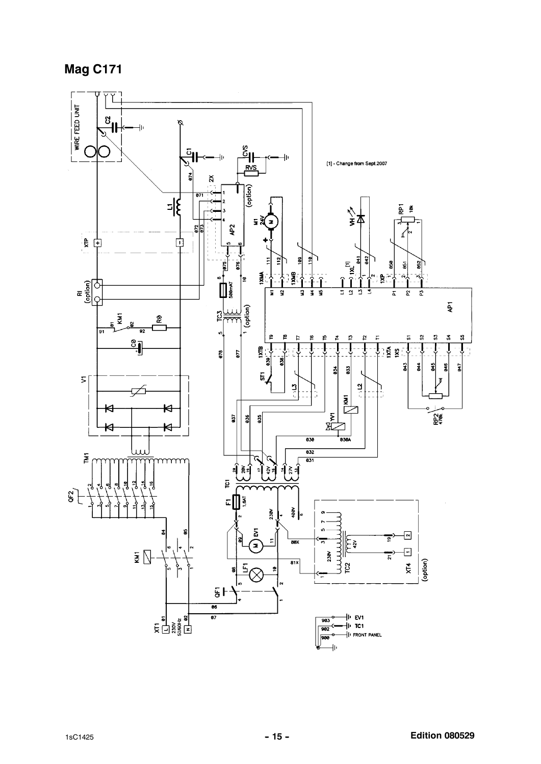### **Mag C171**

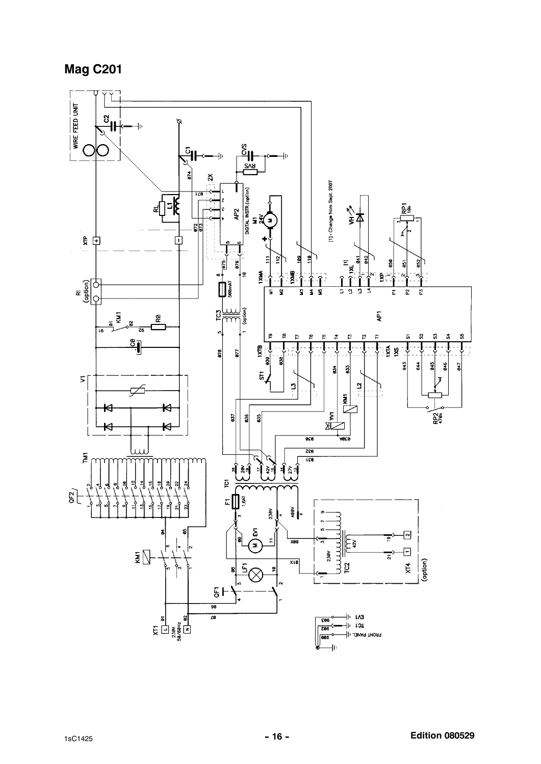### **Mag C201**

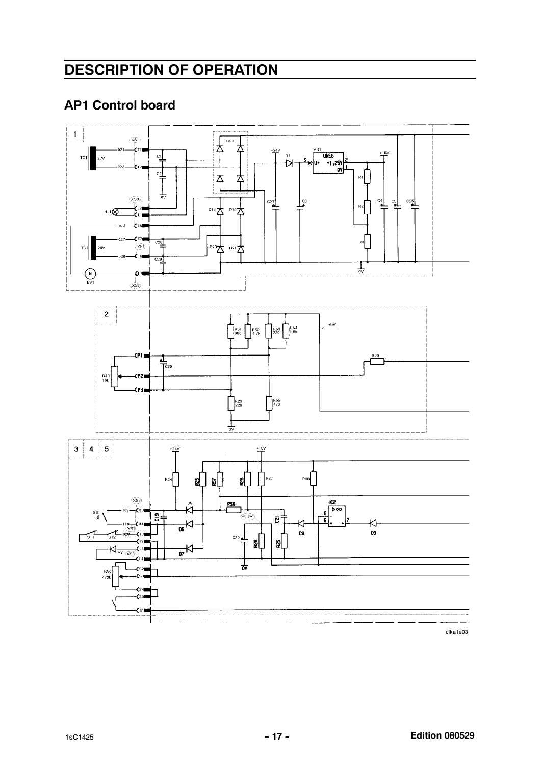### DESCRIPTION OF OPERATION

### AP1 Control board



clka1e03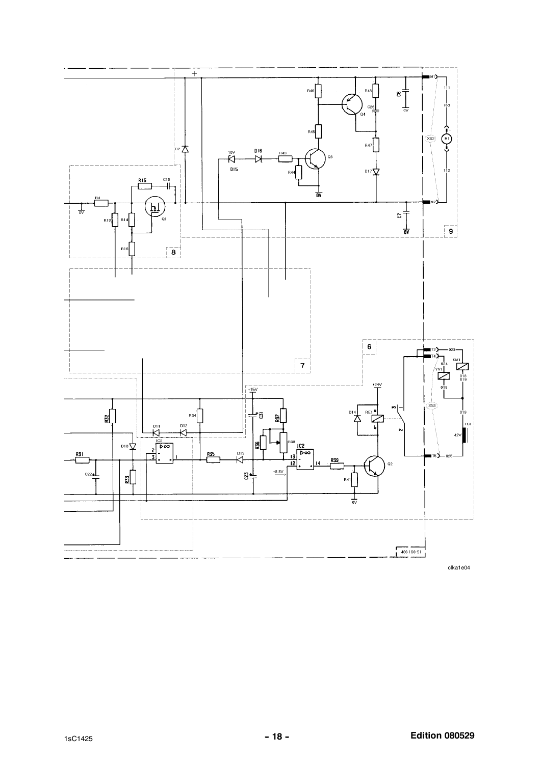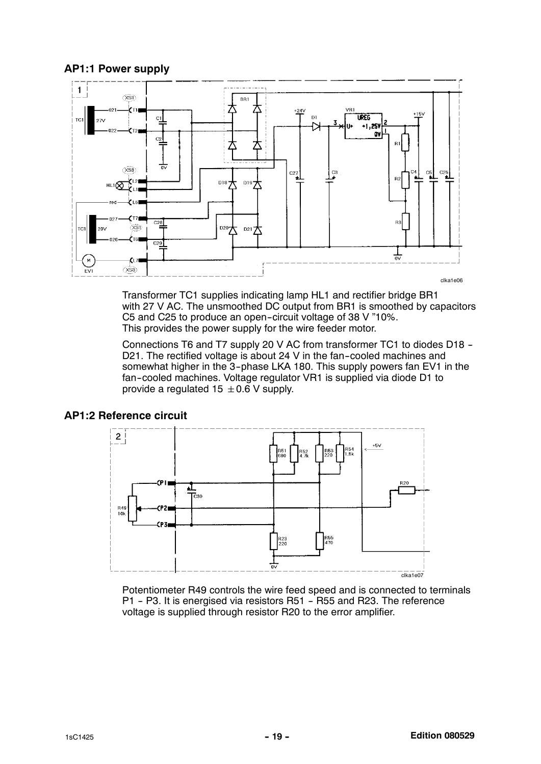AP1:1 Power supply



Transformer TC1 supplies indicating lamp HL1 and rectifier bridge BR1 with 27 V AC. The unsmoothed DC output from BR1 is smoothed by capacitors C5 and C25 to produce an open-circuit voltage of 38 V "10%. This provides the power supply for the wire feeder motor.

Connections T6 and T7 supply 20 V AC from transformer TC1 to diodes D18 -- D21. The rectified voltage is about 24 V in the fan-cooled machines and somewhat higher in the 3-phase LKA 180. This supply powers fan EV1 in the fan--cooled machines. Voltage regulator VR1 is supplied via diode D1 to provide a regulated 15  $\pm$  0.6 V supply.





Potentiometer R49 controls the wire feed speed and is connected to terminals P1 - P3. It is energised via resistors R51 - R55 and R23. The reference voltage is supplied through resistor R20 to the error amplifier.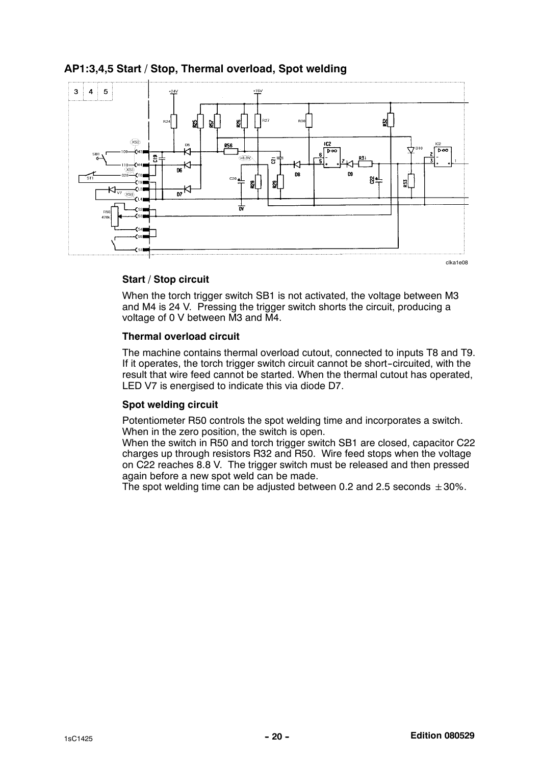

### AP1:3,4,5 Start / Stop, Thermal overload, Spot welding

#### Start / Stop circuit

When the torch trigger switch SB1 is not activated, the voltage between M3 and M4 is 24 V. Pressing the trigger switch shorts the circuit, producing a voltage of 0 V between M3 and M4.

#### Thermal overload circuit

The machine contains thermal overload cutout, connected to inputs T8 and T9. If it operates, the torch trigger switch circuit cannot be short--circuited, with the result that wire feed cannot be started. When the thermal cutout has operated, LED V7 is energised to indicate this via diode D7.

#### Spot welding circuit

Potentiometer R50 controls the spot welding time and incorporates a switch. When in the zero position, the switch is open.

When the switch in R50 and torch trigger switch SB1 are closed, capacitor C22 charges up through resistors R32 and R50. Wire feed stops when the voltage on C22 reaches 8.8 V. The trigger switch must be released and then pressed again before a new spot weld can be made.

The spot welding time can be adjusted between 0.2 and 2.5 seconds  $\pm 30\%$ .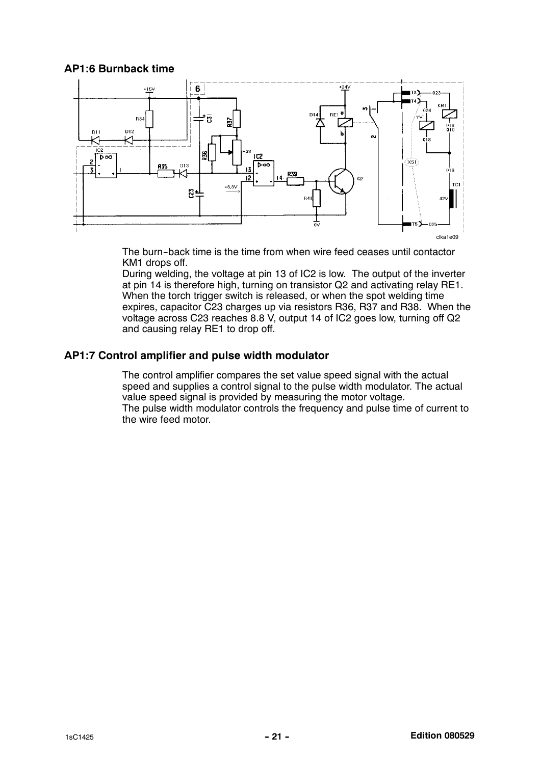### AP1:6 Burnback time



The burn--back time is the time from when wire feed ceases until contactor KM1 drops off.

During welding, the voltage at pin 13 of IC2 is low. The output of the inverter at pin 14 is therefore high, turning on transistor Q2 and activating relay RE1. When the torch trigger switch is released, or when the spot welding time expires, capacitor C23 charges up via resistors R36, R37 and R38. When the voltage across C23 reaches 8.8 V, output 14 of IC2 goes low, turning off Q2 and causing relay RE1 to drop off.

### AP1:7 Control amplifier and pulse width modulator

The control amplifier compares the set value speed signal with the actual speed and supplies a control signal to the pulse width modulator. The actual value speed signal is provided by measuring the motor voltage. The pulse width modulator controls the frequency and pulse time of current to the wire feed motor.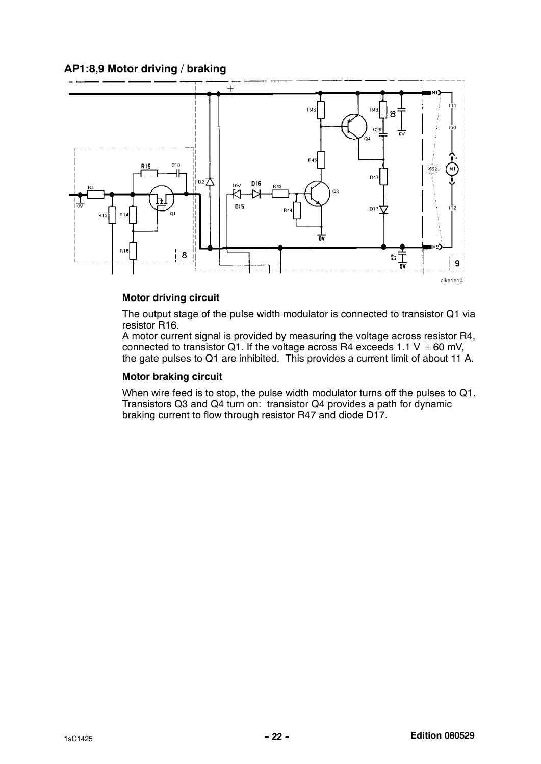### AP1:8,9 Motor driving / braking



#### Motor driving circuit

The output stage of the pulse width modulator is connected to transistor Q1 via resistor R16.

A motor current signal is provided by measuring the voltage across resistor R4, connected to transistor Q1. If the voltage across R4 exceeds 1.1 V  $\pm$  60 mV, the gate pulses to Q1 are inhibited. This provides a current limit of about 11 A.

#### Motor braking circuit

When wire feed is to stop, the pulse width modulator turns off the pulses to Q1. Transistors Q3 and Q4 turn on: transistor Q4 provides a path for dynamic braking current to flow through resistor R47 and diode D17.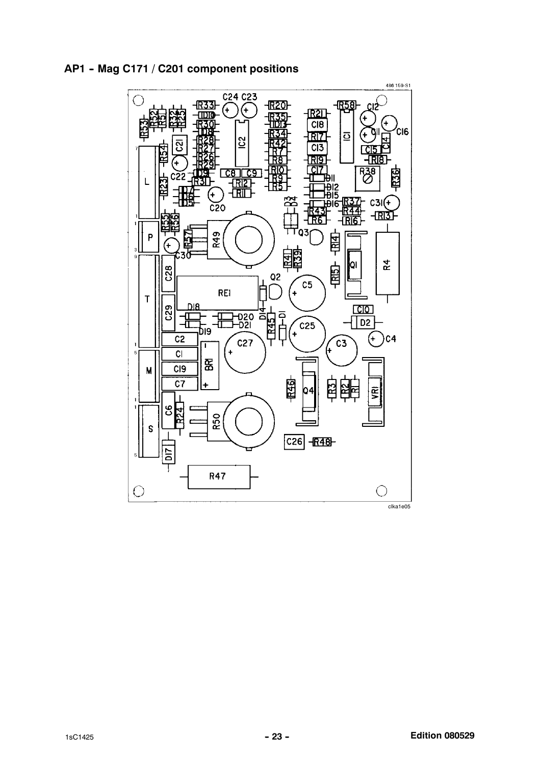

AP1 - Mag C171 / C201 component positions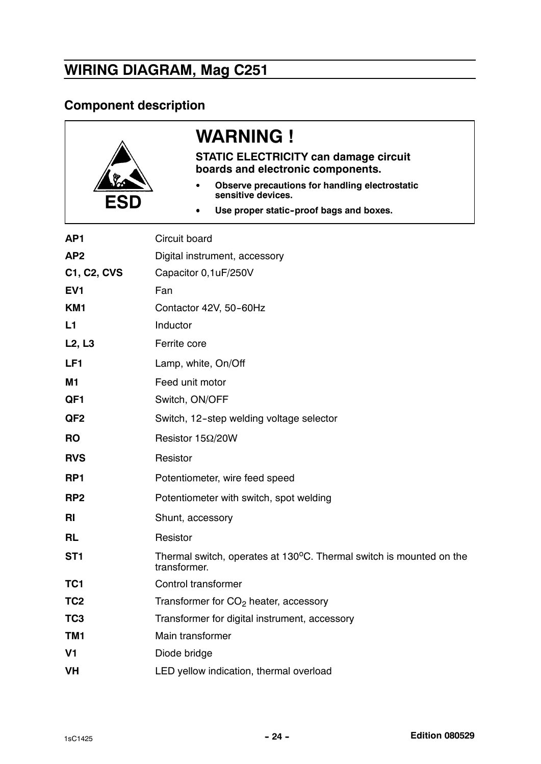# WIRING DIAGRAM, Mag C251

### Component description

| ESD             | <b>WARNING !</b><br><b>STATIC ELECTRICITY can damage circuit</b><br>boards and electronic components.<br>Observe precautions for handling electrostatic<br>sensitive devices.<br>Use proper static-proof bags and boxes. |  |  |
|-----------------|--------------------------------------------------------------------------------------------------------------------------------------------------------------------------------------------------------------------------|--|--|
| AP <sub>1</sub> | Circuit board                                                                                                                                                                                                            |  |  |
| AP <sub>2</sub> | Digital instrument, accessory                                                                                                                                                                                            |  |  |
| C1, C2, CVS     | Capacitor 0,1uF/250V                                                                                                                                                                                                     |  |  |
| EV <sub>1</sub> | Fan                                                                                                                                                                                                                      |  |  |
| KM <sub>1</sub> | Contactor 42V, 50-60Hz                                                                                                                                                                                                   |  |  |
| L1              | Inductor                                                                                                                                                                                                                 |  |  |
| L2, L3          | Ferrite core                                                                                                                                                                                                             |  |  |
| LF <sub>1</sub> | Lamp, white, On/Off                                                                                                                                                                                                      |  |  |
| M1              | Feed unit motor                                                                                                                                                                                                          |  |  |
| QF1             | Switch, ON/OFF                                                                                                                                                                                                           |  |  |
| QF <sub>2</sub> | Switch, 12-step welding voltage selector                                                                                                                                                                                 |  |  |
| <b>RO</b>       | Resistor $15\Omega/20W$                                                                                                                                                                                                  |  |  |
| <b>RVS</b>      | Resistor                                                                                                                                                                                                                 |  |  |
| RP <sub>1</sub> | Potentiometer, wire feed speed                                                                                                                                                                                           |  |  |
| RP <sub>2</sub> | Potentiometer with switch, spot welding                                                                                                                                                                                  |  |  |
| <b>RI</b>       | Shunt, accessory                                                                                                                                                                                                         |  |  |
| <b>RL</b>       | Resistor                                                                                                                                                                                                                 |  |  |
| ST <sub>1</sub> | Thermal switch, operates at 130°C. Thermal switch is mounted on the<br>transformer.                                                                                                                                      |  |  |
| TC <sub>1</sub> | <b>Control transformer</b>                                                                                                                                                                                               |  |  |
| TC <sub>2</sub> | Transformer for CO <sub>2</sub> heater, accessory                                                                                                                                                                        |  |  |
| TC <sub>3</sub> | Transformer for digital instrument, accessory                                                                                                                                                                            |  |  |
| TM1             | Main transformer                                                                                                                                                                                                         |  |  |
| V <sub>1</sub>  | Diode bridge                                                                                                                                                                                                             |  |  |
| <b>VH</b>       | LED yellow indication, thermal overload                                                                                                                                                                                  |  |  |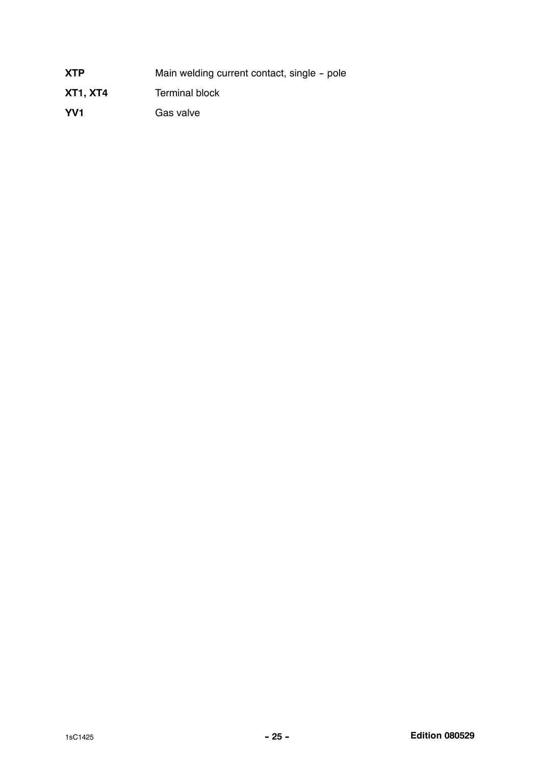| <b>XTP</b>      | Main welding current contact, single - pole |
|-----------------|---------------------------------------------|
| <b>XT1, XT4</b> | <b>Terminal block</b>                       |

YV1 Gas valve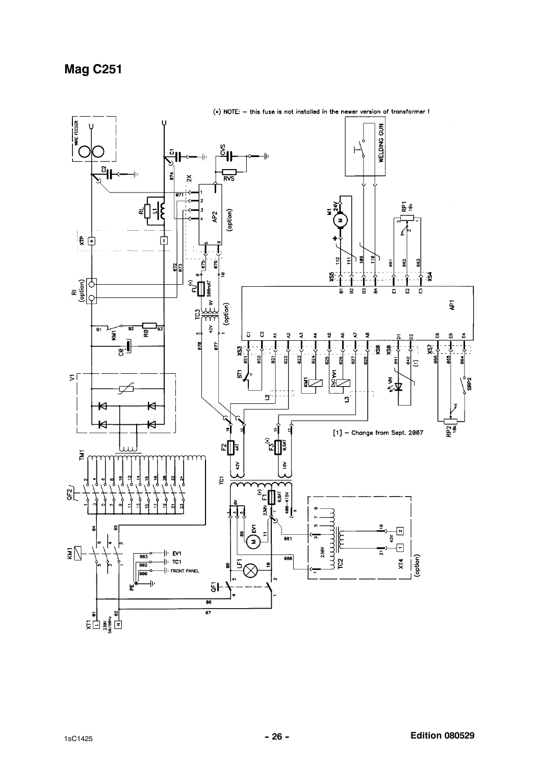### **Mag C251**

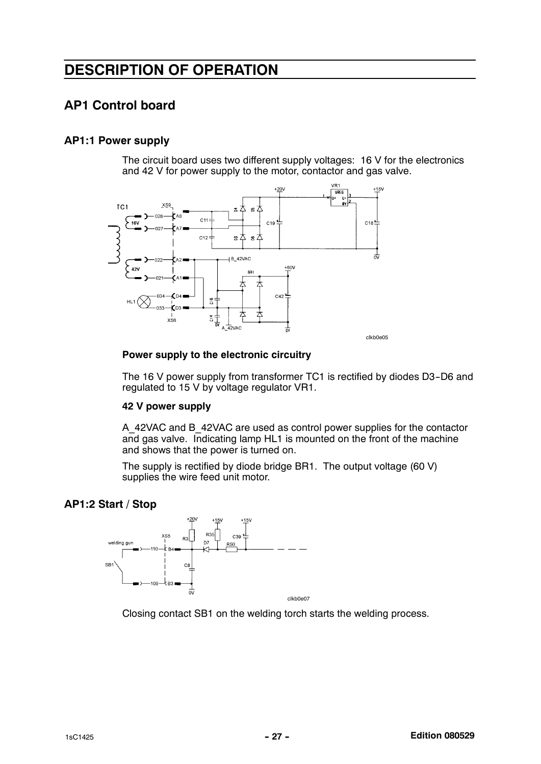### DESCRIPTION OF OPERATION

### AP1 Control board

### AP1:1 Power supply

The circuit board uses two different supply voltages: 16 V for the electronics and 42 V for power supply to the motor, contactor and gas valve.



#### Power supply to the electronic circuitry

The 16 V power supply from transformer TC1 is rectified by diodes D3-D6 and regulated to 15 V by voltage regulator VR1.

#### 42 V power supply

A\_42VAC and B\_42VAC are used as control power supplies for the contactor and gas valve. Indicating lamp HL1 is mounted on the front of the machine and shows that the power is turned on.

The supply is rectified by diode bridge BR1. The output voltage (60 V) supplies the wire feed unit motor.

#### AP1:2 Start / Stop



Closing contact SB1 on the welding torch starts the welding process.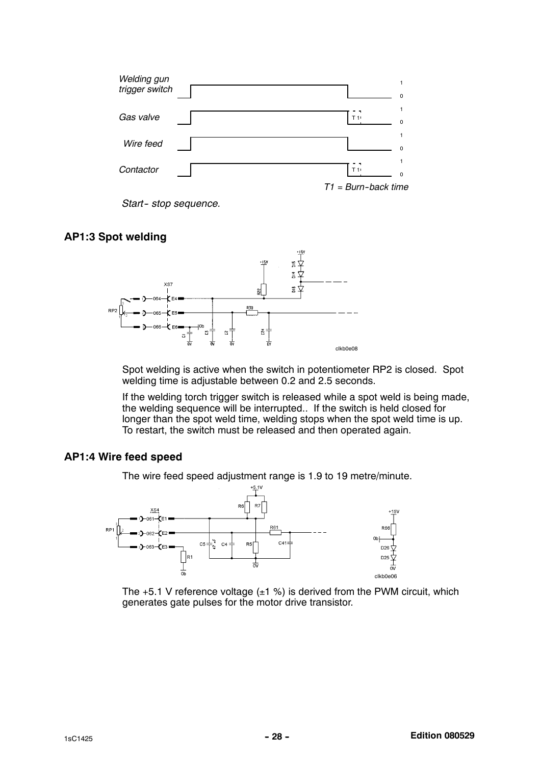

Start-stop sequence.

### AP1:3 Spot welding



Spot welding is active when the switch in potentiometer RP2 is closed. Spot welding time is adjustable between 0.2 and 2.5 seconds.

If the welding torch trigger switch is released while a spot weld is being made, the welding sequence will be interrupted.. If the switch is held closed for longer than the spot weld time, welding stops when the spot weld time is up. To restart, the switch must be released and then operated again.

#### AP1:4 Wire feed speed

The wire feed speed adjustment range is 1.9 to 19 metre/minute.



The  $+5.1$  V reference voltage  $(\pm 1 \%)$  is derived from the PWM circuit, which generates gate pulses for the motor drive transistor.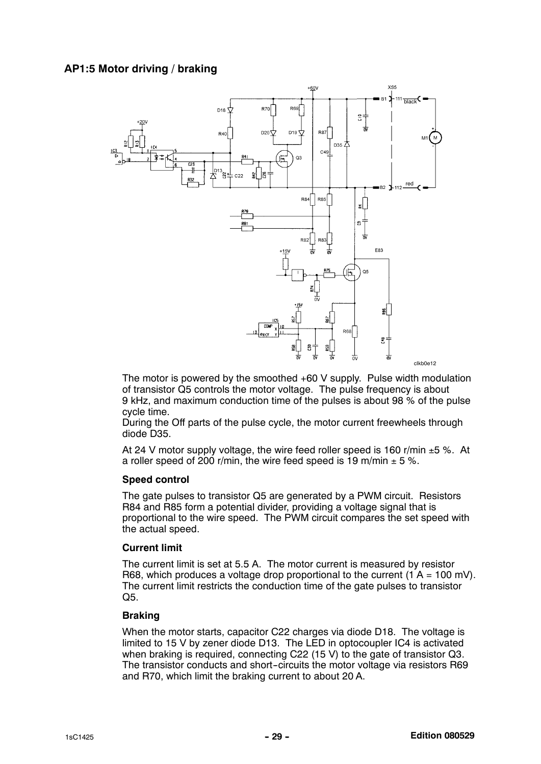

The motor is powered by the smoothed +60 V supply. Pulse width modulation of transistor Q5 controls the motor voltage. The pulse frequency is about 9 kHz, and maximum conduction time of the pulses is about 98 % of the pulse cycle time.

During the Off parts of the pulse cycle, the motor current freewheels through diode D35.

At 24 V motor supply voltage, the wire feed roller speed is 160 r/min  $\pm 5$  %. At a roller speed of 200 r/min, the wire feed speed is 19 m/min  $\pm$  5 %.

#### Speed control

The gate pulses to transistor Q5 are generated by a PWM circuit. Resistors R84 and R85 form a potential divider, providing a voltage signal that is proportional to the wire speed. The PWM circuit compares the set speed with the actual speed.

#### Current limit

The current limit is set at 5.5 A. The motor current is measured by resistor R68, which produces a voltage drop proportional to the current  $(1 A = 100 \text{ mV})$ . The current limit restricts the conduction time of the gate pulses to transistor Q5.

#### Braking

When the motor starts, capacitor C22 charges via diode D18. The voltage is limited to 15 V by zener diode D13. The LED in optocoupler IC4 is activated when braking is required, connecting C22 (15 V) to the gate of transistor Q3. The transistor conducts and short--circuits the motor voltage via resistors R69 and R70, which limit the braking current to about 20 A.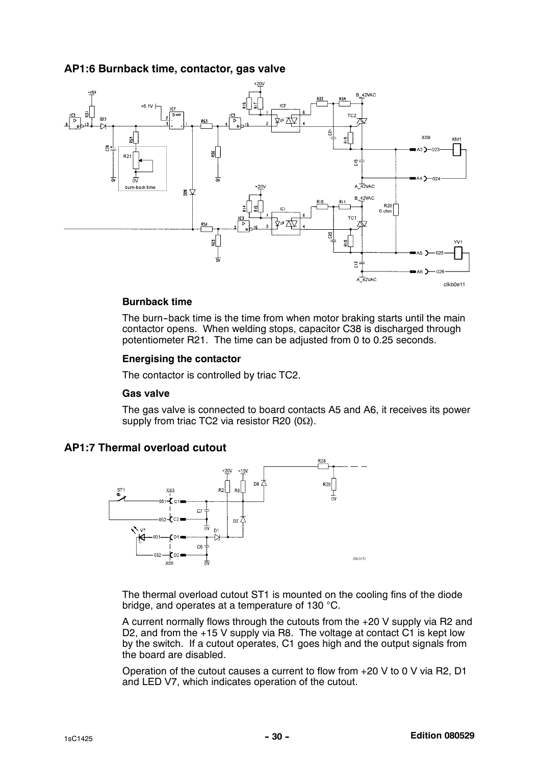### AP1:6 Burnback time, contactor, gas valve



#### Burnback time

The burn-back time is the time from when motor braking starts until the main contactor opens. When welding stops, capacitor C38 is discharged through potentiometer R21. The time can be adjusted from 0 to 0.25 seconds.

#### Energising the contactor

The contactor is controlled by triac TC2.

#### Gas valve

The gas valve is connected to board contacts A5 and A6, it receives its power supply from triac TC2 via resistor R20 (0Ω).





The thermal overload cutout ST1 is mounted on the cooling fins of the diode bridge, and operates at a temperature of 130 °C.

A current normally flows through the cutouts from the +20 V supply via R2 and D2, and from the +15 V supply via R8. The voltage at contact C1 is kept low by the switch. If a cutout operates, C1 goes high and the output signals from the board are disabled.

Operation of the cutout causes a current to flow from +20 V to 0 V via R2, D1 and LED V7, which indicates operation of the cutout.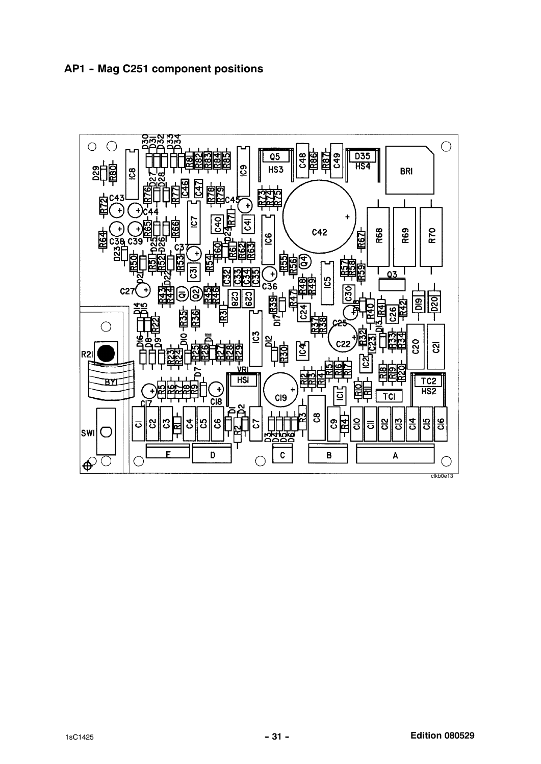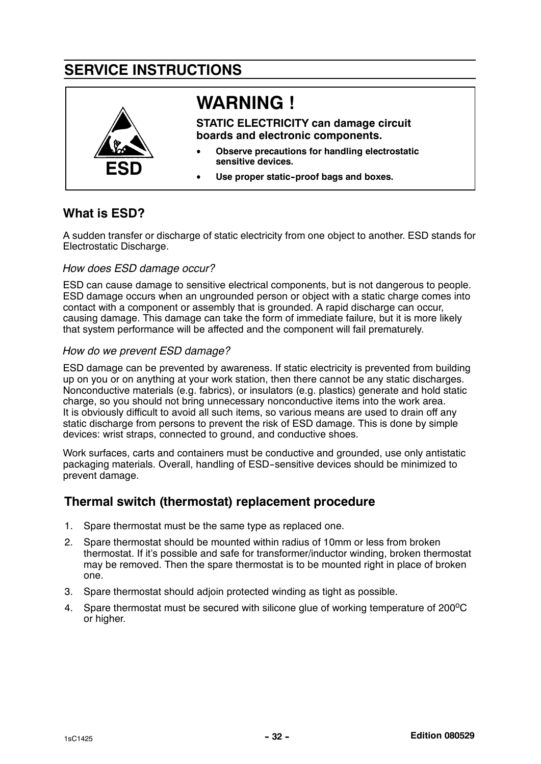### SERVICE INSTRUCTIONS



### What is ESD?

A sudden transfer or discharge of static electricity from one object to another. ESD stands for Electrostatic Discharge.

### How does ESD damage occur?

ESD can cause damage to sensitive electrical components, but is not dangerous to people. ESD damage occurs when an ungrounded person or object with a static charge comes into contact with a component or assembly that is grounded. A rapid discharge can occur, causing damage. This damage can take the form of immediate failure, but it is more likely that system performance will be affected and the component will fail prematurely.

### How do we prevent ESD damage?

ESD damage can be prevented by awareness. If static electricity is prevented from building up on you or on anything at your work station, then there cannot be any static discharges. Nonconductive materials (e.g. fabrics), or insulators (e.g. plastics) generate and hold static charge, so you should not bring unnecessary nonconductive items into the work area. It is obviously difficult to avoid all such items, so various means are used to drain off any static discharge from persons to prevent the risk of ESD damage. This is done by simple devices: wrist straps, connected to ground, and conductive shoes.

Work surfaces, carts and containers must be conductive and grounded, use only antistatic packaging materials. Overall, handling of ESD--sensitive devices should be minimized to prevent damage.

### Thermal switch (thermostat) replacement procedure

- 1. Spare thermostat must be the same type as replaced one.
- 2. Spare thermostat should be mounted within radius of 10mm or less from broken thermostat. If it's possible and safe for transformer/inductor winding, broken thermostat may be removed. Then the spare thermostat is to be mounted right in place of broken one.
- 3. Spare thermostat should adjoin protected winding as tight as possible.
- 4. Spare thermostat must be secured with silicone glue of working temperature of 200 °C or higher.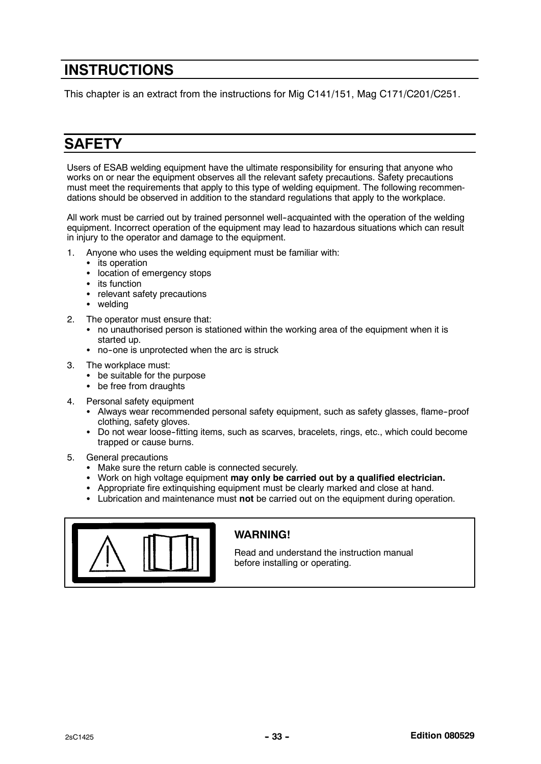### **INSTRUCTIONS**

This chapter is an extract from the instructions for Mig C141/151, Mag C171/C201/C251.

### **SAFETY**

Users of ESAB welding equipment have the ultimate responsibility for ensuring that anyone who works on or near the equipment observes all the relevant safety precautions. Safety precautions must meet the requirements that apply to this type of welding equipment. The following recommendations should be observed in addition to the standard regulations that apply to the workplace.

All work must be carried out by trained personnel well-acquainted with the operation of the welding equipment. Incorrect operation of the equipment may lead to hazardous situations which can result in injury to the operator and damage to the equipment.

- 1. Anyone who uses the welding equipment must be familiar with:
	- its operation
	- location of emergency stops
	- its function
	- relevant safety precautions
	- welding
- 2. The operator must ensure that:
	- no unauthorised person is stationed within the working area of the equipment when it is started up.
	- no-one is unprotected when the arc is struck
- 3. The workplace must:
	- be suitable for the purpose
	- be free from draughts
- 4. Personal safety equipment
	- Always wear recommended personal safety equipment, such as safety glasses, flame-proof clothing, safety gloves.
	- Do not wear loose-fitting items, such as scarves, bracelets, rings, etc., which could become trapped or cause burns.
- 5. General precautions
	- Make sure the return cable is connected securely.
	- Work on high voltage equipment may only be carried out by a qualified electrician.
	- Appropriate fire extinquishing equipment must be clearly marked and close at hand.
	- Lubrication and maintenance must not be carried out on the equipment during operation.



### WARNING!

Read and understand the instruction manual before installing or operating.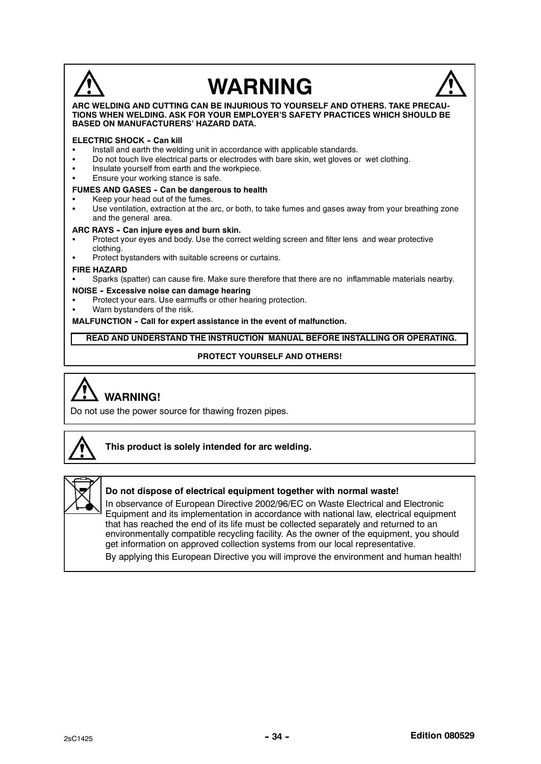# **WARNING**



#### ARC WELDING AND CUTTING CAN BE INJURIOUS TO YOURSELF AND OTHERS. TAKE PRECAU-TIONS WHEN WELDING. ASK FOR YOUR EMPLOYER'S SAFETY PRACTICES WHICH SHOULD BE BASED ON MANUFACTURERS' HAZARD DATA.

#### **ELECTRIC SHOCK - Can kill**

- Install and earth the welding unit in accordance with applicable standards.
- Do not touch live electrical parts or electrodes with bare skin, wet gloves or wet clothing.<br>• Insulate vourself from earth and the workniece
- Insulate yourself from earth and the workpiece.
- **Ensure your working stance is safe.**

#### FUMES AND GASES - Can be dangerous to health

- Keep your head out of the fumes.
- Use ventilation, extraction at the arc, or both, to take fumes and gases away from your breathing zone and the general area.

#### ARC RAYS - Can injure eyes and burn skin.

- Protect your eyes and body. Use the correct welding screen and filter lens and wear protective clothing.
- Protect bystanders with suitable screens or curtains.

#### FIRE HAZARD

Sparks (spatter) can cause fire. Make sure therefore that there are no inflammable materials nearby.

#### NOISE - Excessive noise can damage hearing

- Protect your ears. Use earmuffs or other hearing protection.
- Warn bystanders of the risk.

MALFUNCTION - Call for expert assistance in the event of malfunction.

READ AND UNDERSTAND THE INSTRUCTION MANUAL BEFORE INSTALLING OR OPERATING.

#### PROTECT YOURSELF AND OTHERS!

# WARNING!

Do not use the power source for thawing frozen pipes.



#### This product is solely intended for arc welding.



#### Do not dispose of electrical equipment together with normal waste!

In observance of European Directive 2002/96/EC on Waste Electrical and Electronic Equipment and its implementation in accordance with national law, electrical equipment that has reached the end of its life must be collected separately and returned to an environmentally compatible recycling facility. As the owner of the equipment, you should get information on approved collection systems from our local representative.

By applying this European Directive you will improve the environment and human health!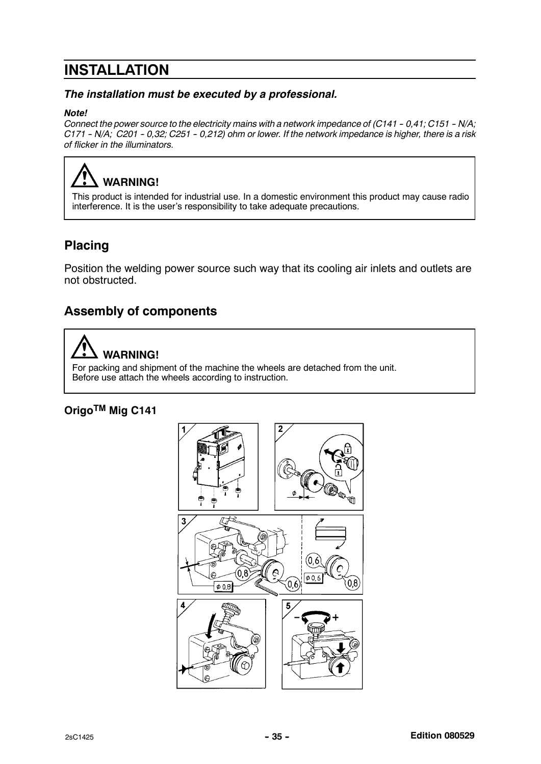### INSTALLATION

### The installation must be executed by a professional.

#### Note!

Connect the power source to the electricity mains with a network impedance of  $(C141 - 0.41; C151 - N/A;$  $C171 - N/A$ ;  $C201 - 0.32$ ;  $C251 - 0.212$ ) ohm or lower. If the network impedance is higher, there is a risk of flicker in the illuminators.

# WARNING!

This product is intended for industrial use. In a domestic environment this product may cause radio interference. It is the user's responsibility to take adequate precautions.

### Placing

Position the welding power source such way that its cooling air inlets and outlets are not obstructed.

### Assembly of components



For packing and shipment of the machine the wheels are detached from the unit. Before use attach the wheels according to instruction.

### OrigoTM Mig C141

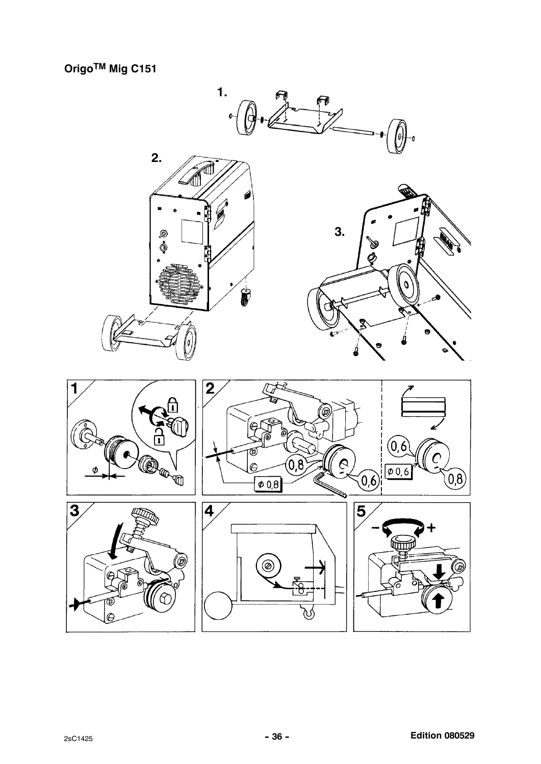Origo™ Mig C151

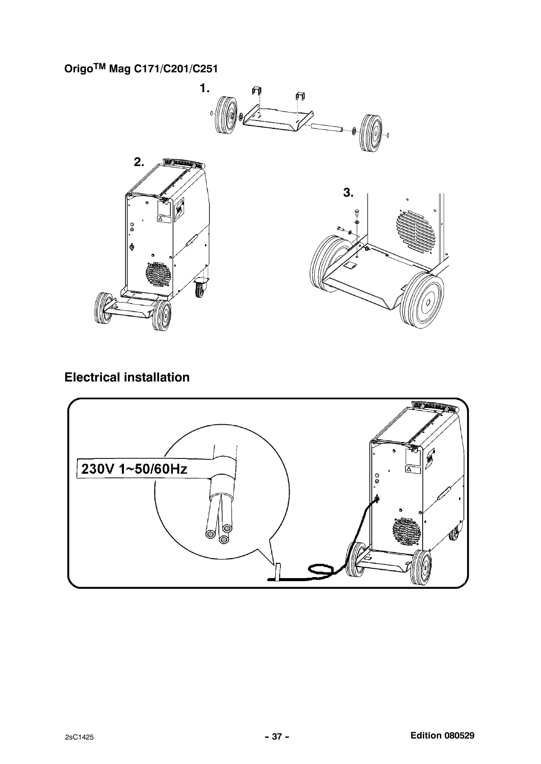OrigoTM Mag C171/C201/C251



### Electrical installation

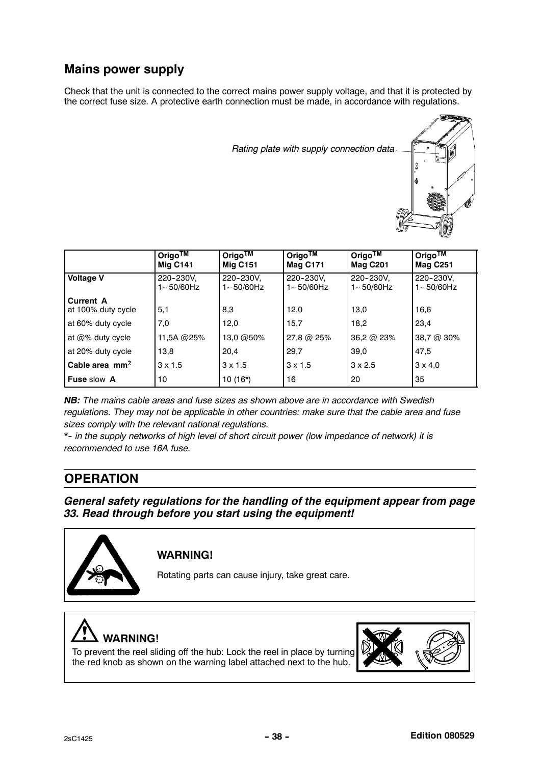### Mains power supply

Check that the unit is connected to the correct mains power supply voltage, and that it is protected by the correct fuse size. A protective earth connection must be made, in accordance with regulations.



|                                        | Origo <sup>TM</sup><br><b>Mig C141</b> | Origo $\overline{\text{TM}}$<br><b>Mig C151</b> | Origo <sup>TM</sup><br><b>Mag C171</b> | Origo™<br><b>Mag C201</b>   | Origo <sup>TM</sup><br><b>Mag C251</b> |
|----------------------------------------|----------------------------------------|-------------------------------------------------|----------------------------------------|-----------------------------|----------------------------------------|
| <b>Voltage V</b>                       | 220-230V,<br>1~50/60Hz                 | 220-230V.<br>$1 - 50/60$ Hz                     | 220-230V.<br>1~50/60Hz                 | 220-230V.<br>$1 - 50/60$ Hz | 220-230V.<br>$1 - 50/60$ Hz            |
| <b>Current A</b><br>at 100% duty cycle | 5,1                                    | 8,3                                             | 12,0                                   | 13.0                        | 16,6                                   |
| at 60% duty cycle                      | 7,0                                    | 12.0                                            | 15,7                                   | 18,2                        | 23.4                                   |
| at $@$ % duty cycle                    | 11,5A @25%                             | 13,0 @50%                                       | 27,8 @ 25%                             | 36,2 @ 23%                  | 38,7 @ 30%                             |
| at 20% duty cycle                      | 13.8                                   | 20,4                                            | 29,7                                   | 39.0                        | 47.5                                   |
| Cable area $mm2$                       | $3 \times 1.5$                         | $3 \times 1.5$                                  | $3 \times 1.5$                         | $3 \times 2.5$              | $3 \times 4.0$                         |
| <b>Fuse slow A</b>                     | 10                                     | $10(16*)$                                       | 16                                     | 20                          | 35                                     |

NB: The mains cable areas and fuse sizes as shown above are in accordance with Swedish regulations. They may not be applicable in other countries: make sure that the cable area and fuse sizes comply with the relevant national regulations.

\*- in the supply networks of high level of short circuit power (low impedance of network) it is recommended to use 16A fuse.

### **OPERATION**

General safety regulations for the handling of the equipment appear from page 33. Read through before you start using the equipment!



### WARNING!

Rotating parts can cause injury, take great care.



To prevent the reel sliding off the hub: Lock the reel in place by turning the red knob as shown on the warning label attached next to the hub.

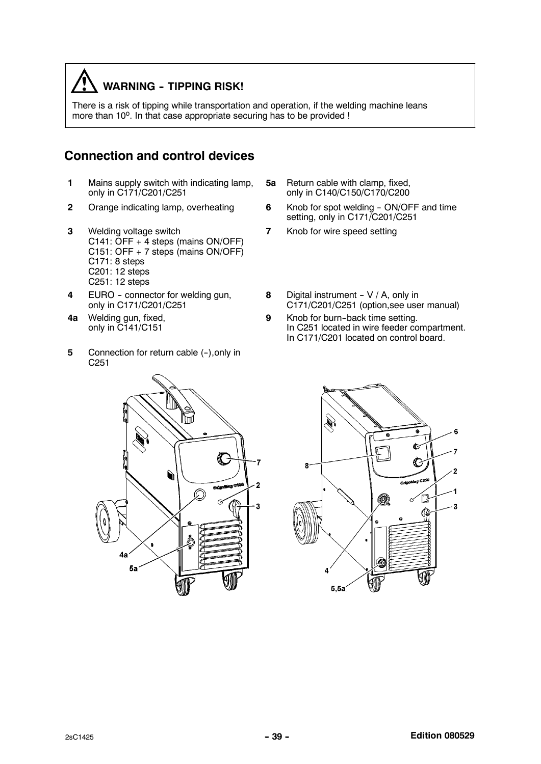### **WARNING - TIPPING RISK!**

There is a risk of tipping while transportation and operation, if the welding machine leans more than 10<sup>o</sup>. In that case appropriate securing has to be provided !

### Connection and control devices

- 1 Mains supply switch with indicating lamp, only in C171/C201/C251
- 
- 3 Welding voltage switch C141: OFF + 4 steps (mains ON/OFF) C151: OFF + 7 steps (mains ON/OFF) C171: 8 steps C201: 12 steps C251: 12 steps
- 4 EURO connector for welding gun, only in C171/C201/C251
- 4a Welding gun, fixed, only in C141/C151

 $\overline{A}$ 

 $5a$ 

5 Connection for return cable (-), only in C251

C



- 2 Orange indicating lamp, overheating 6 Knob for spot welding ON/OFF and time setting, only in C171/C201/C251
	- 7 Knob for wire speed setting
	- 8 Digital instrument  $V / A$ , only in C171/C201/C251 (option,see user manual)
	- 9 Knob for burn-back time setting. In C251 located in wire feeder compartment. In C171/C201 located on control board.

à.

C

**CON** 

Ĺ

G

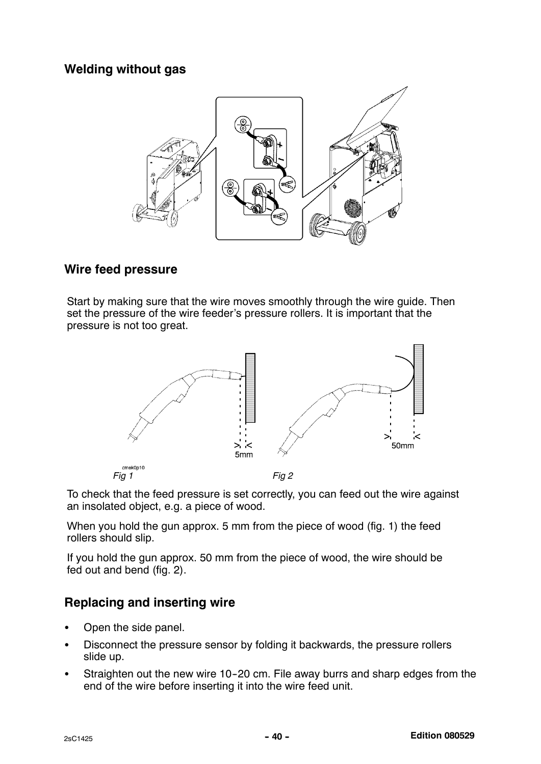### Welding without gas



### Wire feed pressure

Start by making sure that the wire moves smoothly through the wire guide. Then set the pressure of the wire feeder's pressure rollers. It is important that the pressure is not too great.



To check that the feed pressure is set correctly, you can feed out the wire against an insolated object, e.g. a piece of wood.

When you hold the gun approx. 5 mm from the piece of wood (fig. 1) the feed rollers should slip.

If you hold the gun approx. 50 mm from the piece of wood, the wire should be fed out and bend (fig. 2).

### Replacing and inserting wire

- Open the side panel.
- Disconnect the pressure sensor by folding it backwards, the pressure rollers slide up.
- Straighten out the new wire 10-20 cm. File away burrs and sharp edges from the end of the wire before inserting it into the wire feed unit.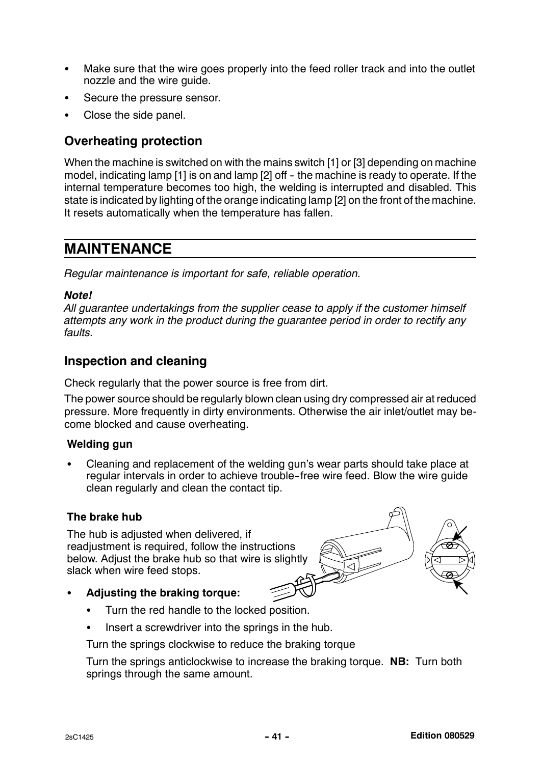- Make sure that the wire goes properly into the feed roller track and into the outlet nozzle and the wire guide.
- Secure the pressure sensor.
- Close the side panel.

### Overheating protection

When the machine is switched on with the mains switch [1] or [3] depending on machine model, indicating lamp  $[1]$  is on and lamp  $[2]$  off - the machine is ready to operate. If the internal temperature becomes too high, the welding is interrupted and disabled. This state is indicated by lighting of the orange indicating lamp [2] on the front of the machine. It resets automatically when the temperature has fallen.

### MAINTENANCE

Regular maintenance is important for safe, reliable operation.

### Note!

All guarantee undertakings from the supplier cease to apply if the customer himself attempts any work in the product during the guarantee period in order to rectify any faults.

### Inspection and cleaning

Check regularly that the power source is free from dirt.

The power source should be regularly blown clean using dry compressed air at reduced pressure. More frequently in dirty environments. Otherwise the air inlet/outlet may become blocked and cause overheating.

### Welding gun

 Cleaning and replacement of the welding gun's wear parts should take place at regular intervals in order to achieve trouble--free wire feed. Blow the wire guide clean regularly and clean the contact tip.

### The brake hub

The hub is adjusted when delivered, if readjustment is required, follow the instructions below. Adjust the brake hub so that wire is slightly slack when wire feed stops.



- Adiusting the braking torque:
	- Turn the red handle to the locked position.
	- Insert a screwdriver into the springs in the hub.

Turn the springs clockwise to reduce the braking torque

Turn the springs anticlockwise to increase the braking torque. NB: Turn both springs through the same amount.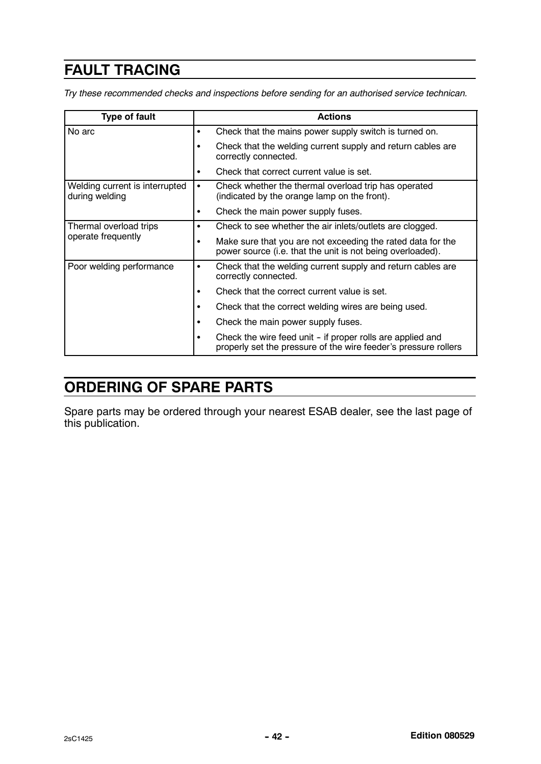### FAULT TRACING

Try these recommended checks and inspections before sending for an authorised service technican.

| <b>Type of fault</b>                             | <b>Actions</b>                                                                                                                     |
|--------------------------------------------------|------------------------------------------------------------------------------------------------------------------------------------|
| No arc                                           | Check that the mains power supply switch is turned on.<br>٠                                                                        |
|                                                  | Check that the welding current supply and return cables are<br>$\bullet$<br>correctly connected.                                   |
|                                                  | Check that correct current value is set.<br>٠                                                                                      |
| Welding current is interrupted<br>during welding | Check whether the thermal overload trip has operated<br>$\bullet$<br>(indicated by the orange lamp on the front).                  |
|                                                  | Check the main power supply fuses.<br>٠                                                                                            |
| Thermal overload trips<br>operate frequently     | Check to see whether the air inlets/outlets are clogged.<br>٠                                                                      |
|                                                  | Make sure that you are not exceeding the rated data for the<br>٠<br>power source (i.e. that the unit is not being overloaded).     |
| Poor welding performance                         | Check that the welding current supply and return cables are<br>٠<br>correctly connected.                                           |
|                                                  | Check that the correct current value is set.<br>$\bullet$                                                                          |
|                                                  | Check that the correct welding wires are being used.<br>٠                                                                          |
|                                                  | Check the main power supply fuses.<br>$\bullet$                                                                                    |
|                                                  | Check the wire feed unit - if proper rolls are applied and<br>٠<br>properly set the pressure of the wire feeder's pressure rollers |

### ORDERING OF SPARE PARTS

Spare parts may be ordered through your nearest ESAB dealer, see the last page of this publication.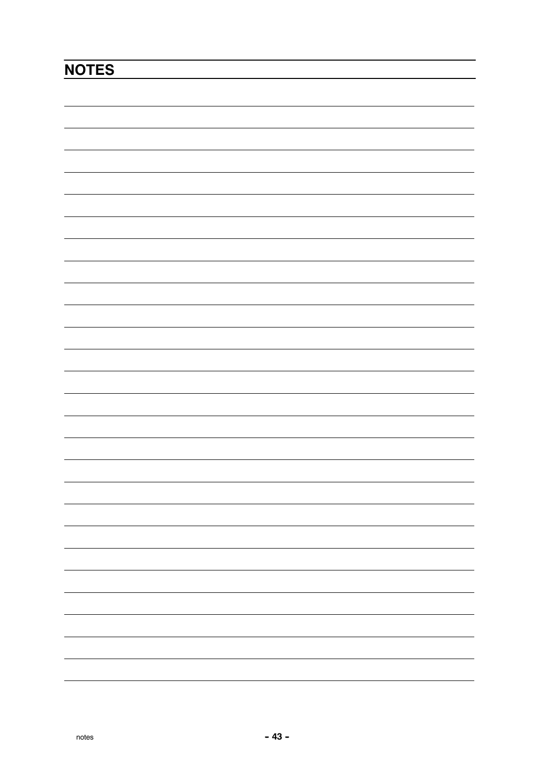# **NOTES**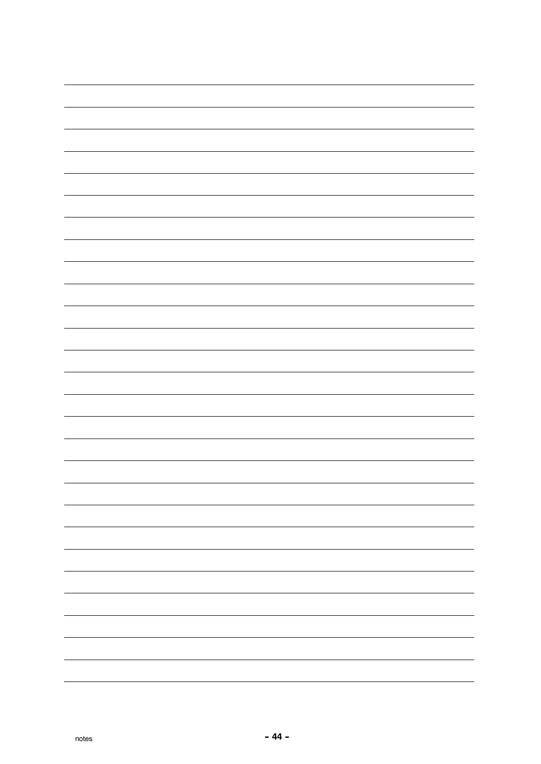